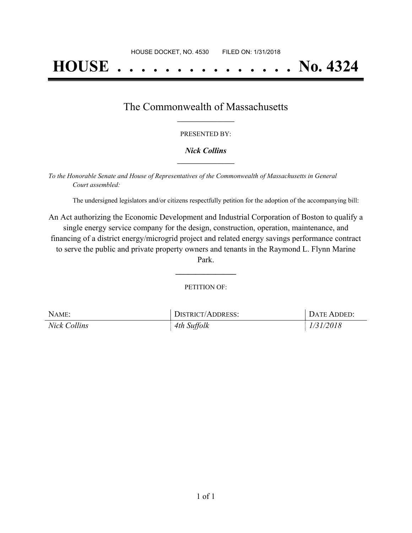# **HOUSE . . . . . . . . . . . . . . . No. 4324**

### The Commonwealth of Massachusetts **\_\_\_\_\_\_\_\_\_\_\_\_\_\_\_\_\_**

#### PRESENTED BY:

#### *Nick Collins* **\_\_\_\_\_\_\_\_\_\_\_\_\_\_\_\_\_**

*To the Honorable Senate and House of Representatives of the Commonwealth of Massachusetts in General Court assembled:*

The undersigned legislators and/or citizens respectfully petition for the adoption of the accompanying bill:

An Act authorizing the Economic Development and Industrial Corporation of Boston to qualify a single energy service company for the design, construction, operation, maintenance, and financing of a district energy/microgrid project and related energy savings performance contract to serve the public and private property owners and tenants in the Raymond L. Flynn Marine Park.

PETITION OF:

**\_\_\_\_\_\_\_\_\_\_\_\_\_\_\_**

| NAME:               | <b>DISTRICT/ADDRESS:</b> | DATE ADDED: |
|---------------------|--------------------------|-------------|
| <b>Nick Collins</b> | 4th Suffolk              | 1/31/2018   |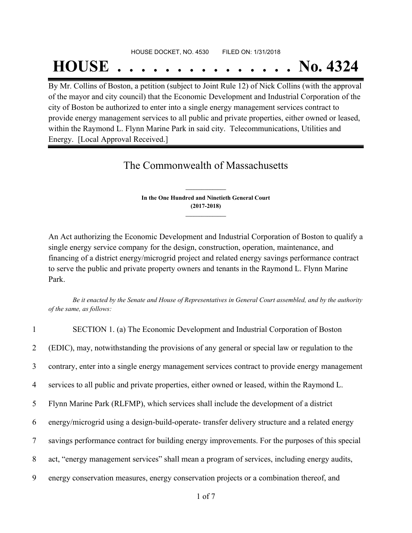#### HOUSE DOCKET, NO. 4530 FILED ON: 1/31/2018

## **HOUSE . . . . . . . . . . . . . . . No. 4324**

By Mr. Collins of Boston, a petition (subject to Joint Rule 12) of Nick Collins (with the approval of the mayor and city council) that the Economic Development and Industrial Corporation of the city of Boston be authorized to enter into a single energy management services contract to provide energy management services to all public and private properties, either owned or leased, within the Raymond L. Flynn Marine Park in said city. Telecommunications, Utilities and Energy. [Local Approval Received.]

## The Commonwealth of Massachusetts

**In the One Hundred and Ninetieth General Court (2017-2018) \_\_\_\_\_\_\_\_\_\_\_\_\_\_\_**

**\_\_\_\_\_\_\_\_\_\_\_\_\_\_\_**

An Act authorizing the Economic Development and Industrial Corporation of Boston to qualify a single energy service company for the design, construction, operation, maintenance, and financing of a district energy/microgrid project and related energy savings performance contract to serve the public and private property owners and tenants in the Raymond L. Flynn Marine Park.

Be it enacted by the Senate and House of Representatives in General Court assembled, and by the authority *of the same, as follows:*

| $\mathbf{1}$    | SECTION 1. (a) The Economic Development and Industrial Corporation of Boston                    |
|-----------------|-------------------------------------------------------------------------------------------------|
| $\overline{2}$  | (EDIC), may, notwithstanding the provisions of any general or special law or regulation to the  |
| $\overline{3}$  | contrary, enter into a single energy management services contract to provide energy management  |
| 4               | services to all public and private properties, either owned or leased, within the Raymond L.    |
| 5 <sup>1</sup>  | Flynn Marine Park (RLFMP), which services shall include the development of a district           |
| 6               | energy/microgrid using a design-build-operate-transfer delivery structure and a related energy  |
| $7\overline{ }$ | savings performance contract for building energy improvements. For the purposes of this special |
| 8               | act, "energy management services" shall mean a program of services, including energy audits,    |
| 9               | energy conservation measures, energy conservation projects or a combination thereof, and        |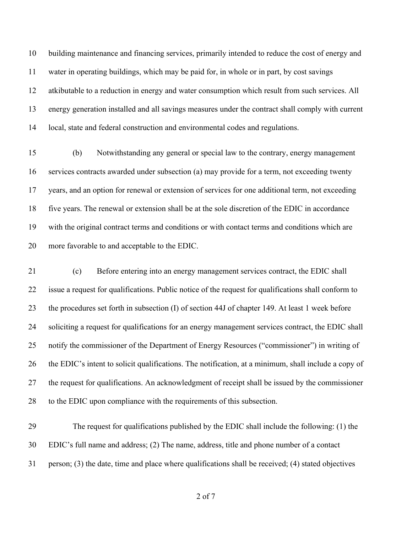building maintenance and financing services, primarily intended to reduce the cost of energy and water in operating buildings, which may be paid for, in whole or in part, by cost savings atkibutable to a reduction in energy and water consumption which result from such services. All energy generation installed and all savings measures under the contract shall comply with current local, state and federal construction and environmental codes and regulations.

 (b) Notwithstanding any general or special law to the contrary, energy management services contracts awarded under subsection (a) may provide for a term, not exceeding twenty years, and an option for renewal or extension of services for one additional term, not exceeding five years. The renewal or extension shall be at the sole discretion of the EDIC in accordance with the original contract terms and conditions or with contact terms and conditions which are more favorable to and acceptable to the EDIC.

 (c) Before entering into an energy management services contract, the EDIC shall issue a request for qualifications. Public notice of the request for qualifications shall conform to the procedures set forth in subsection (I) of section 44J of chapter 149. At least 1 week before soliciting a request for qualifications for an energy management services contract, the EDIC shall notify the commissioner of the Department of Energy Resources ("commissioner") in writing of the EDIC's intent to solicit qualifications. The notification, at a minimum, shall include a copy of the request for qualifications. An acknowledgment of receipt shall be issued by the commissioner to the EDIC upon compliance with the requirements of this subsection.

 The request for qualifications published by the EDIC shall include the following: (1) the EDIC's full name and address; (2) The name, address, title and phone number of a contact person; (3) the date, time and place where qualifications shall be received; (4) stated objectives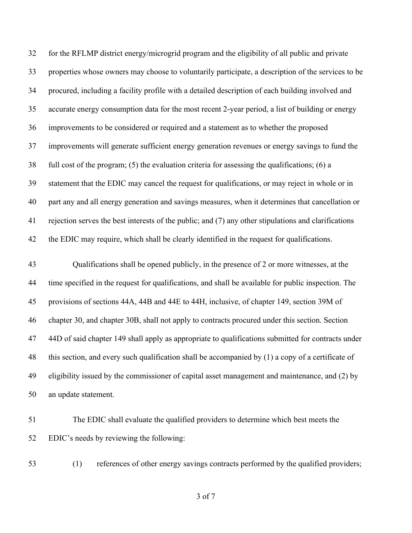for the RFLMP district energy/microgrid program and the eligibility of all public and private properties whose owners may choose to voluntarily participate, a description of the services to be procured, including a facility profile with a detailed description of each building involved and accurate energy consumption data for the most recent 2-year period, a list of building or energy improvements to be considered or required and a statement as to whether the proposed improvements will generate sufficient energy generation revenues or energy savings to fund the full cost of the program; (5) the evaluation criteria for assessing the qualifications; (6) a statement that the EDIC may cancel the request for qualifications, or may reject in whole or in part any and all energy generation and savings measures, when it determines that cancellation or rejection serves the best interests of the public; and (7) any other stipulations and clarifications the EDIC may require, which shall be clearly identified in the request for qualifications.

 Qualifications shall be opened publicly, in the presence of 2 or more witnesses, at the time specified in the request for qualifications, and shall be available for public inspection. The provisions of sections 44A, 44B and 44E to 44H, inclusive, of chapter 149, section 39M of chapter 30, and chapter 30B, shall not apply to contracts procured under this section. Section 44D of said chapter 149 shall apply as appropriate to qualifications submitted for contracts under this section, and every such qualification shall be accompanied by (1) a copy of a certificate of eligibility issued by the commissioner of capital asset management and maintenance, and (2) by an update statement.

- The EDIC shall evaluate the qualified providers to determine which best meets the EDIC's needs by reviewing the following:
- 

(1) references of other energy savings contracts performed by the qualified providers;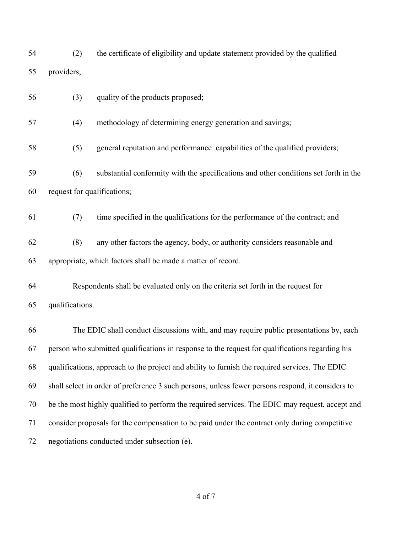(2) the certificate of eligibility and update statement provided by the qualified providers;

| 56 | (3)                                                                                               | quality of the products proposed;                                                      |  |
|----|---------------------------------------------------------------------------------------------------|----------------------------------------------------------------------------------------|--|
| 57 | (4)                                                                                               | methodology of determining energy generation and savings;                              |  |
| 58 | (5)                                                                                               | general reputation and performance capabilities of the qualified providers;            |  |
| 59 | (6)                                                                                               | substantial conformity with the specifications and other conditions set forth in the   |  |
| 60 | request for qualifications;                                                                       |                                                                                        |  |
| 61 | (7)                                                                                               | time specified in the qualifications for the performance of the contract; and          |  |
| 62 | (8)                                                                                               | any other factors the agency, body, or authority considers reasonable and              |  |
| 63 |                                                                                                   | appropriate, which factors shall be made a matter of record.                           |  |
| 64 |                                                                                                   | Respondents shall be evaluated only on the criteria set forth in the request for       |  |
| 65 | qualifications.                                                                                   |                                                                                        |  |
| 66 |                                                                                                   | The EDIC shall conduct discussions with, and may require public presentations by, each |  |
| 67 | person who submitted qualifications in response to the request for qualifications regarding his   |                                                                                        |  |
| 68 | qualifications, approach to the project and ability to furnish the required services. The EDIC    |                                                                                        |  |
| 69 | shall select in order of preference 3 such persons, unless fewer persons respond, it considers to |                                                                                        |  |
| 70 | be the most highly qualified to perform the required services. The EDIC may request, accept and   |                                                                                        |  |
| 71 | consider proposals for the compensation to be paid under the contract only during competitive     |                                                                                        |  |
| 72 | negotiations conducted under subsection (e).                                                      |                                                                                        |  |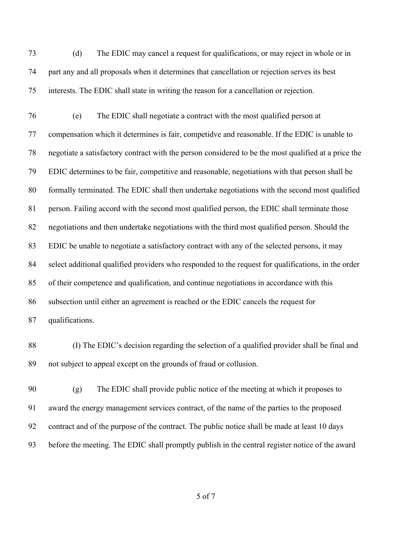(d) The EDIC may cancel a request for qualifications, or may reject in whole or in part any and all proposals when it determines that cancellation or rejection serves its best interests. The EDIC shall state in writing the reason for a cancellation or rejection.

 (e) The EDIC shall negotiate a contract with the most qualified person at compensation which it determines is fair, competidve and reasonable. If the EDIC is unable to negotiate a satisfactory contract with the person considered to be the most qualified at a price the EDIC determines to be fair, competitive and reasonable, negotiations with that person shall be formally terminated. The EDIC shall then undertake negotiations with the second most qualified person. Failing accord with the second most qualified person, the EDIC shall terminate those negotiations and then undertake negotiations with the third most qualified person. Should the EDIC be unable to negotiate a satisfactory contract with any of the selected persons, it may select additional qualified providers who responded to the request for qualifications, in the order of their competence and qualification, and continue negotiations in accordance with this subsection until either an agreement is reached or the EDIC cancels the request for qualifications.

 (I) The EDIC's decision regarding the selection of a qualified provider shall be final and not subject to appeal except on the grounds of fraud or collusion.

 (g) The EDIC shall provide public notice of the meeting at which it proposes to award the energy management services contract, of the name of the parties to the proposed contract and of the purpose of the contract. The public notice shall be made at least 10 days before the meeting. The EDIC shall promptly publish in the central register notice of the award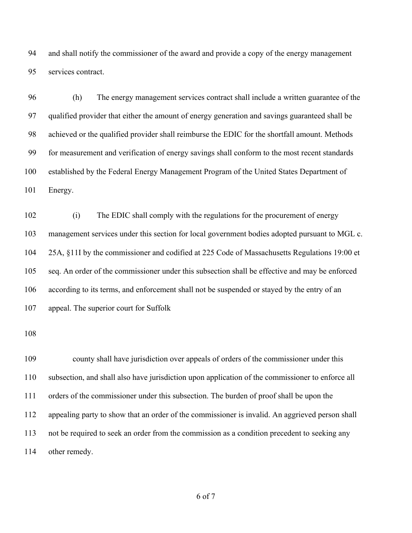and shall notify the commissioner of the award and provide a copy of the energy management services contract.

 (h) The energy management services contract shall include a written guarantee of the qualified provider that either the amount of energy generation and savings guaranteed shall be achieved or the qualified provider shall reimburse the EDIC for the shortfall amount. Methods for measurement and verification of energy savings shall conform to the most recent standards established by the Federal Energy Management Program of the United States Department of Energy.

 (i) The EDIC shall comply with the regulations for the procurement of energy management services under this section for local government bodies adopted pursuant to MGL c. 25A, §11I by the commissioner and codified at 225 Code of Massachusetts Regulations 19:00 et seq. An order of the commissioner under this subsection shall be effective and may be enforced according to its terms, and enforcement shall not be suspended or stayed by the entry of an appeal. The superior court for Suffolk

 county shall have jurisdiction over appeals of orders of the commissioner under this subsection, and shall also have jurisdiction upon application of the commissioner to enforce all orders of the commissioner under this subsection. The burden of proof shall be upon the appealing party to show that an order of the commissioner is invalid. An aggrieved person shall not be required to seek an order from the commission as a condition precedent to seeking any other remedy.